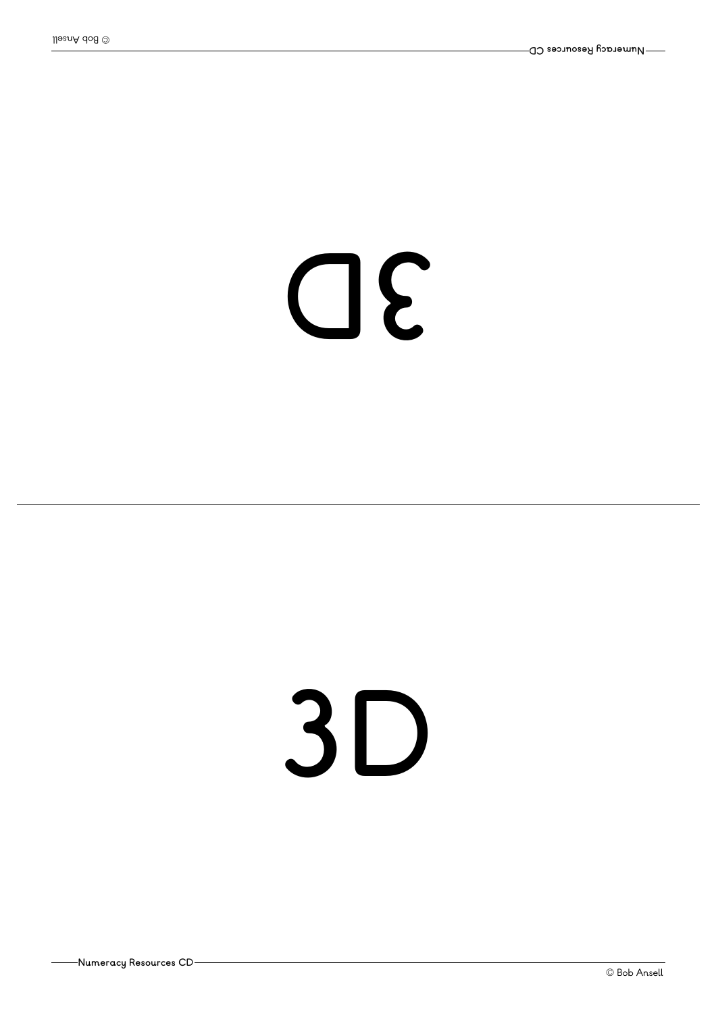#### **D3**

#### **3D**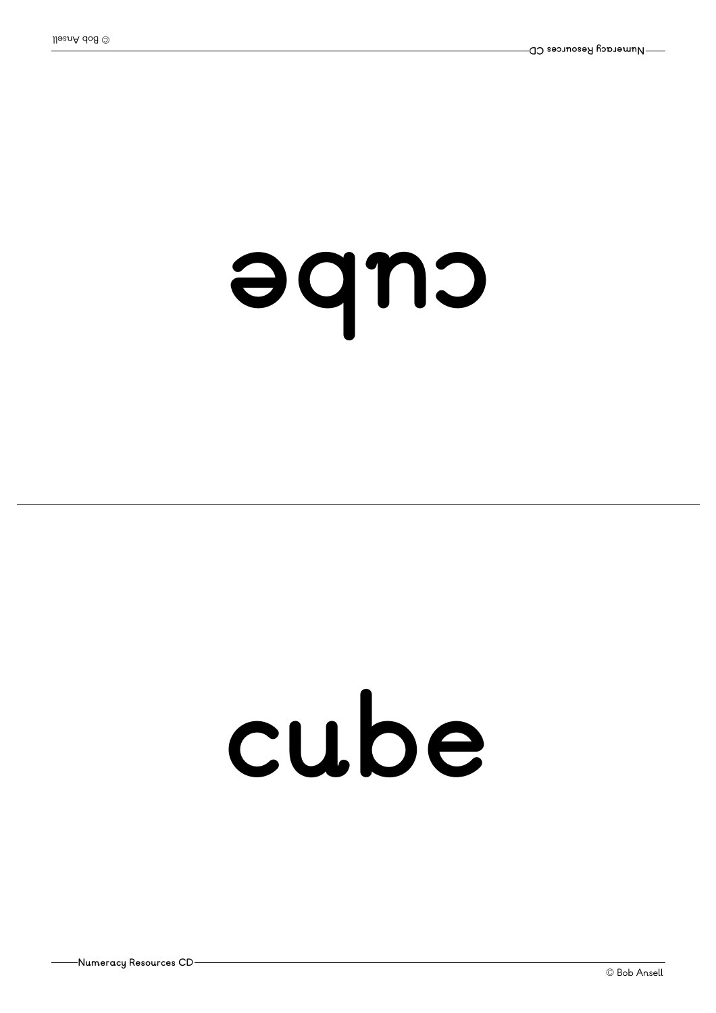#### eque

#### **cube**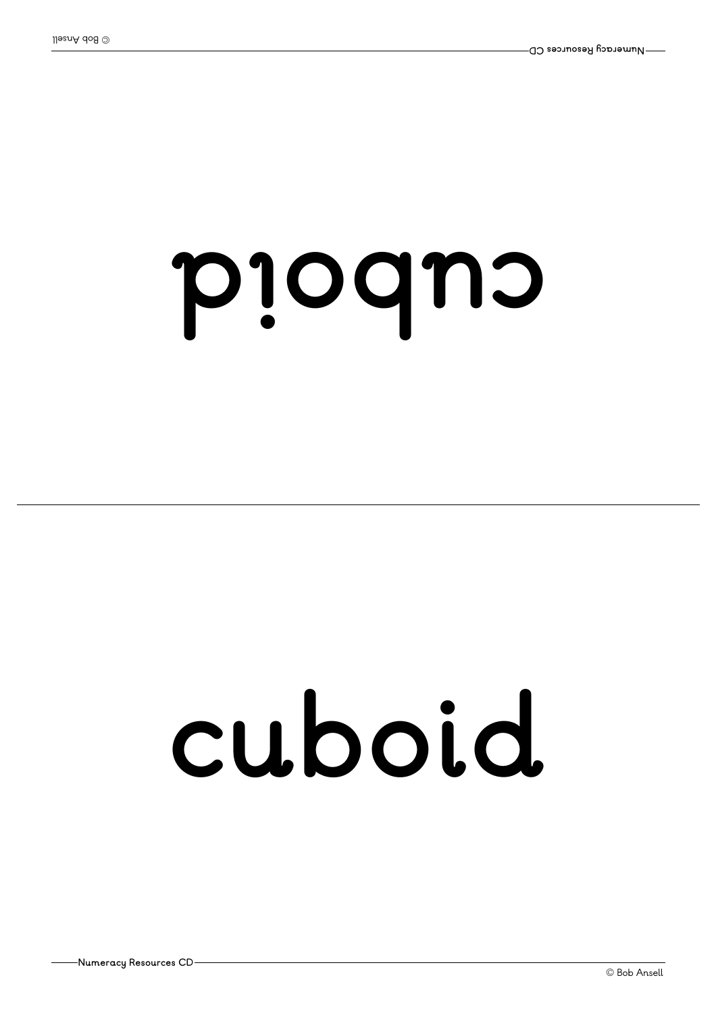#### pioqno

### **cuboid**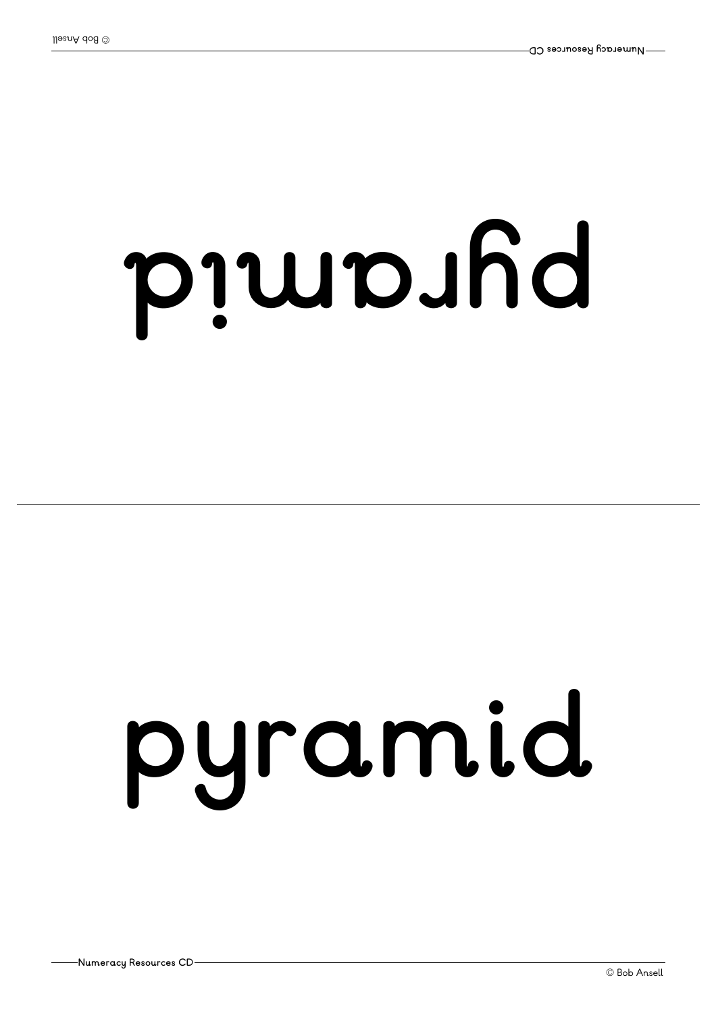# p jub.hd

### **pyramid**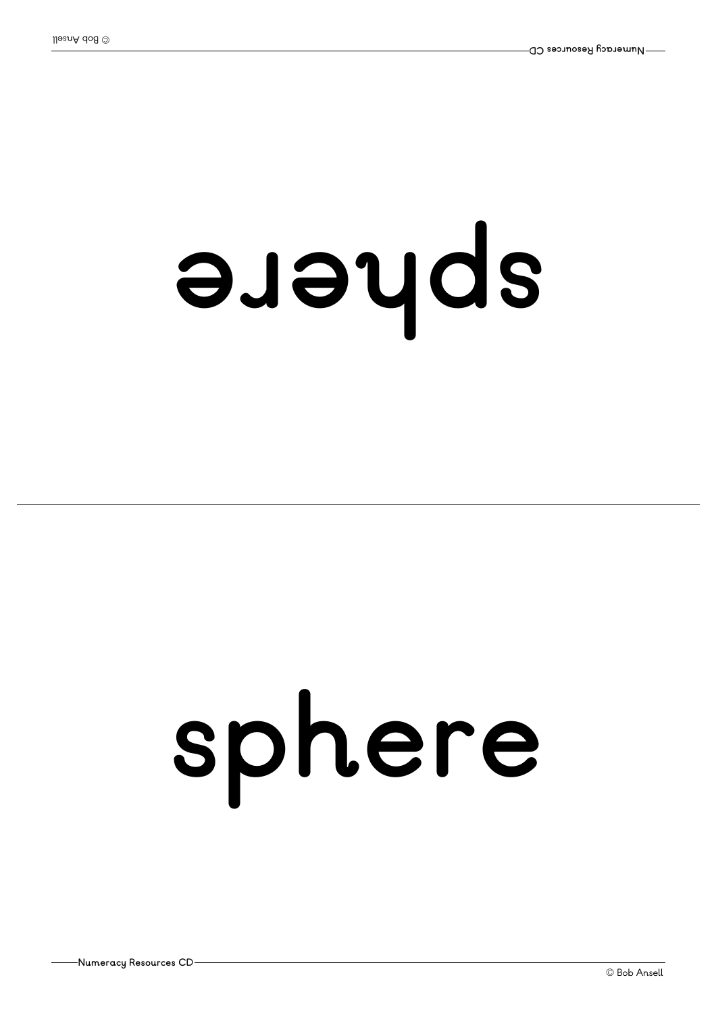## **er ehps**

## **sphere**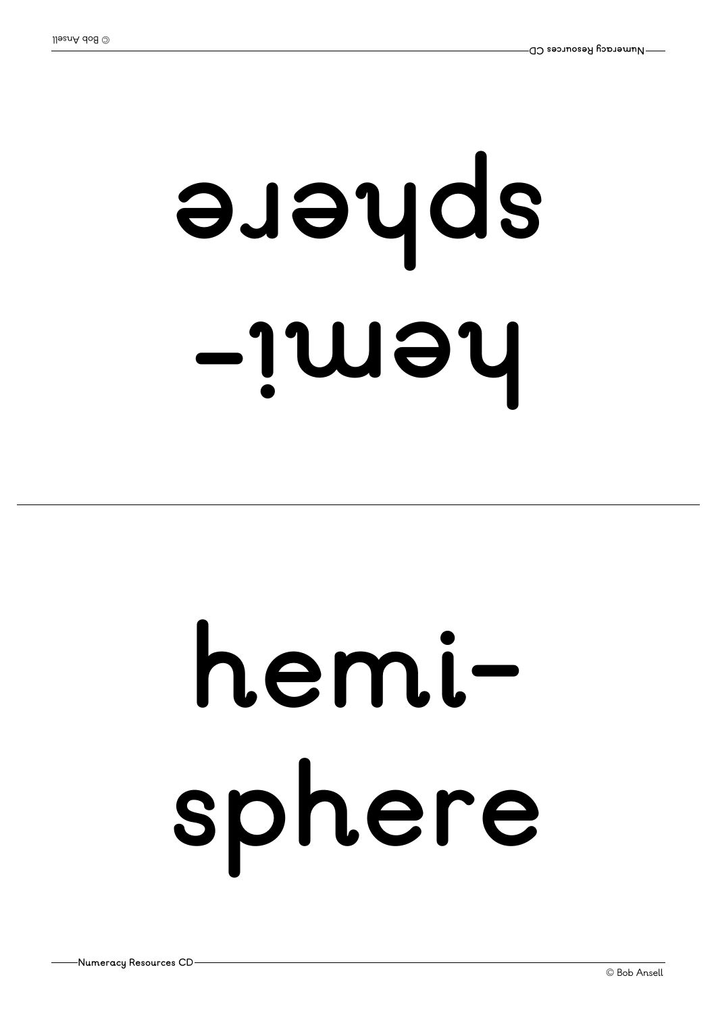### **-i meh er ehps**

### **hemisphere**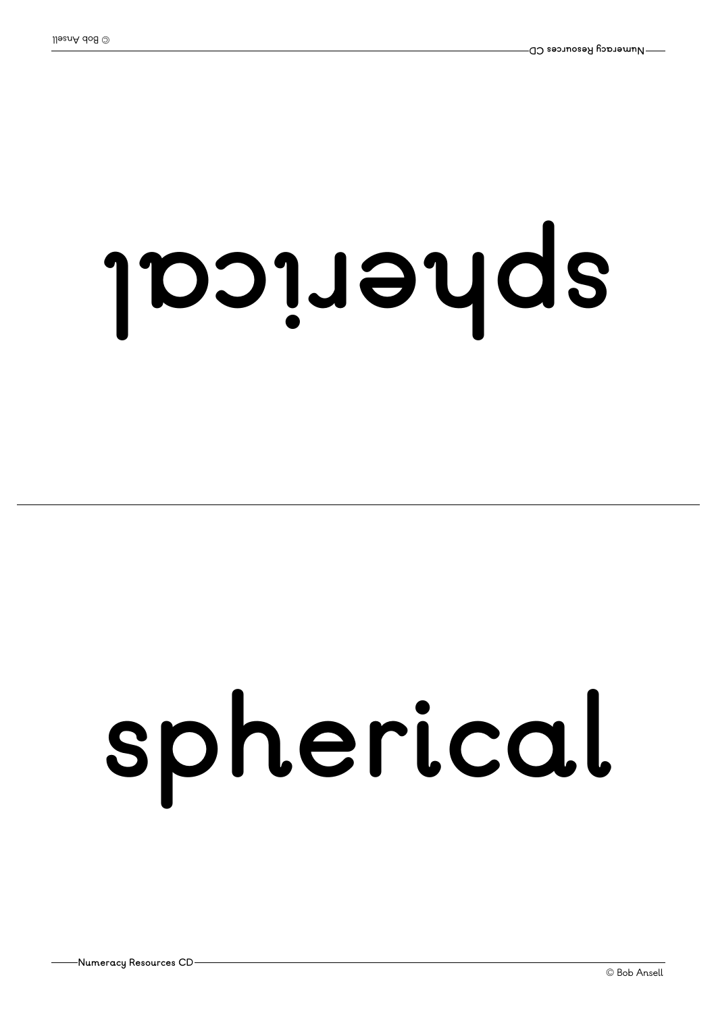# **l aci <sup>r</sup> ehps**

### **spherical**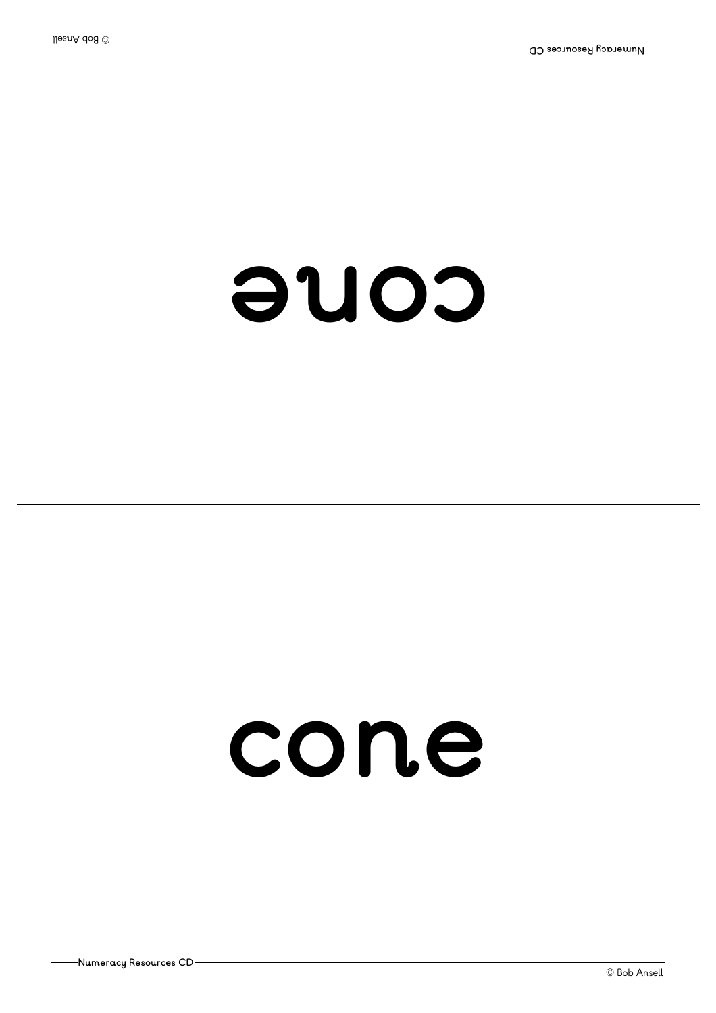#### **enoc**

#### **cone**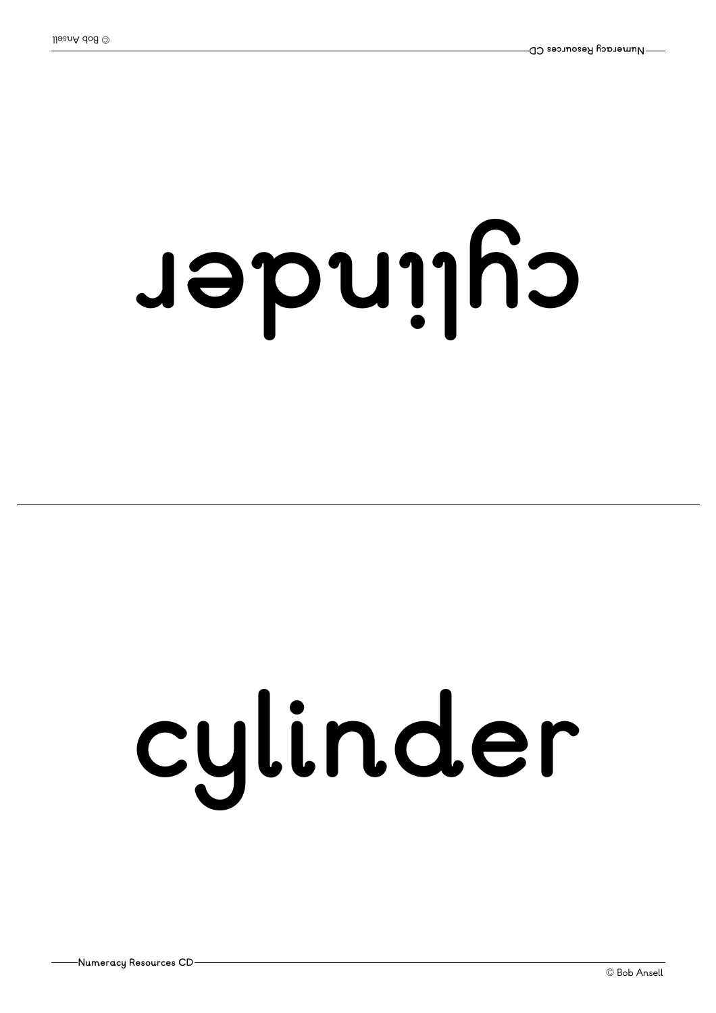## **<sup>r</sup> ednil yc**

## **cylinder**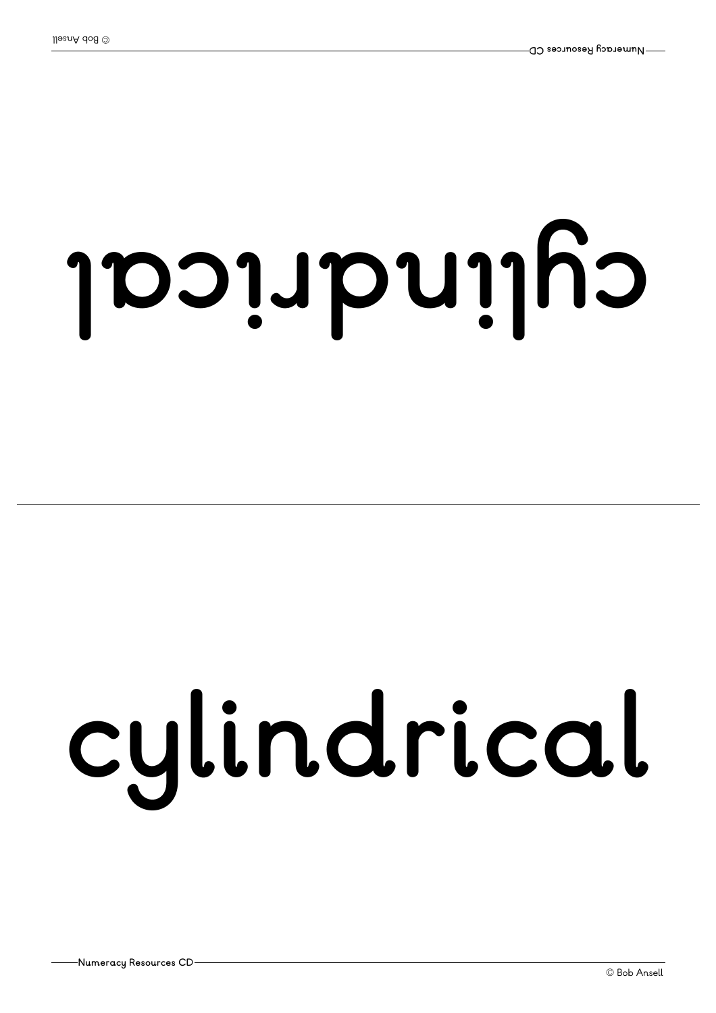# **l aci <sup>r</sup> dnil yc**

# **cylindrical**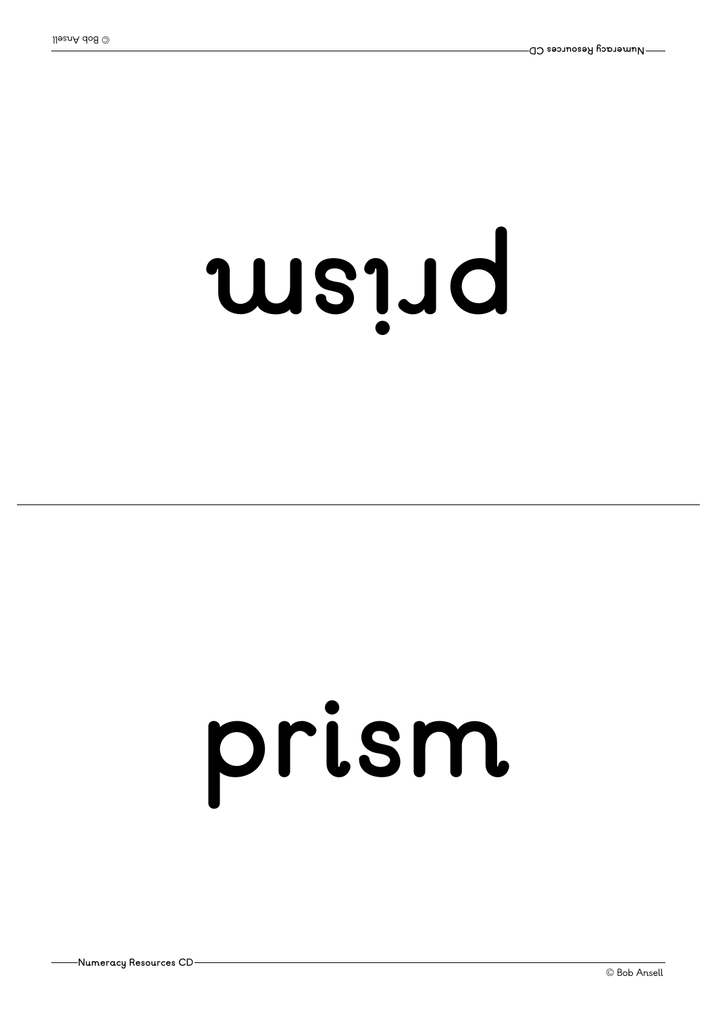### $us$ <sub>1</sub>Jd

### **prism**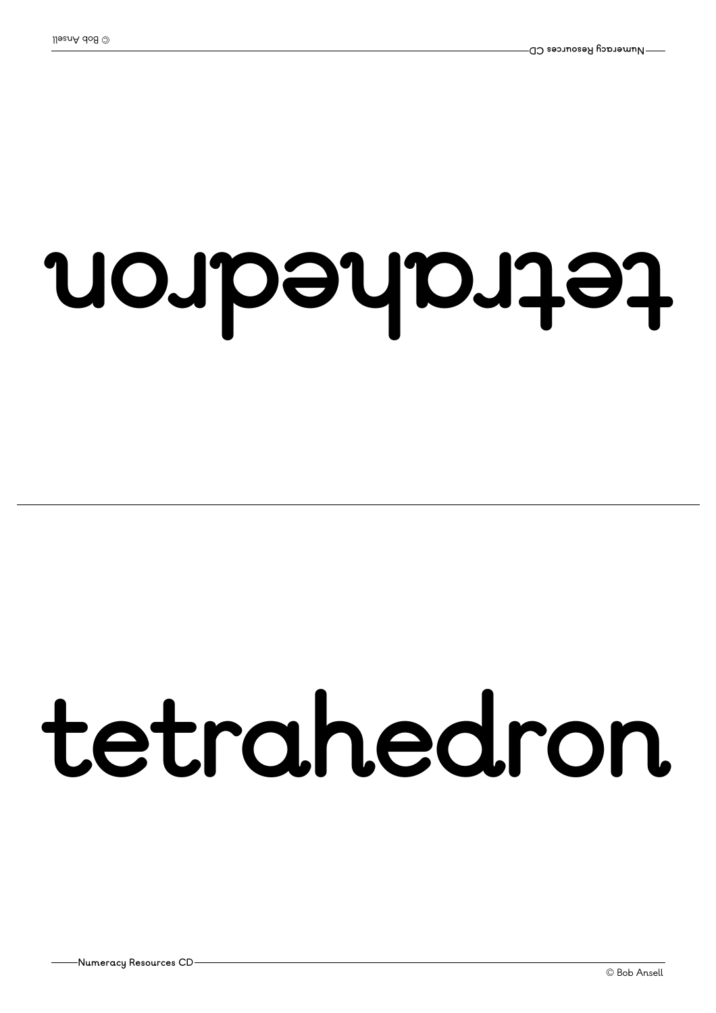#### **nor dehartet**

#### **tetrahedron**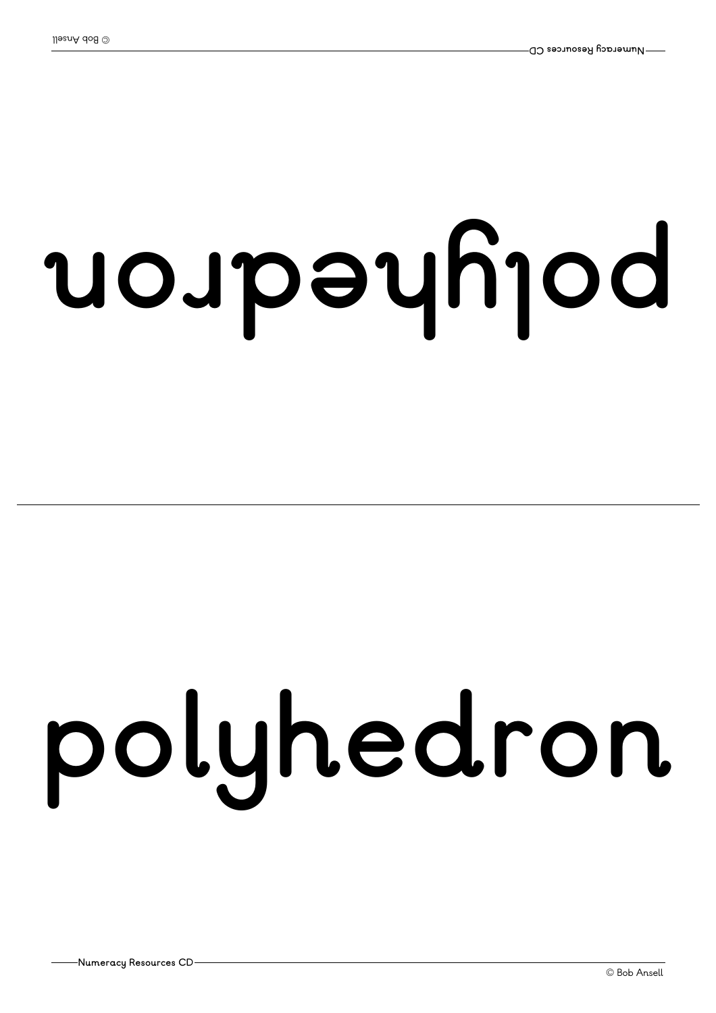# **nor dehyl op**

# **polyhedron**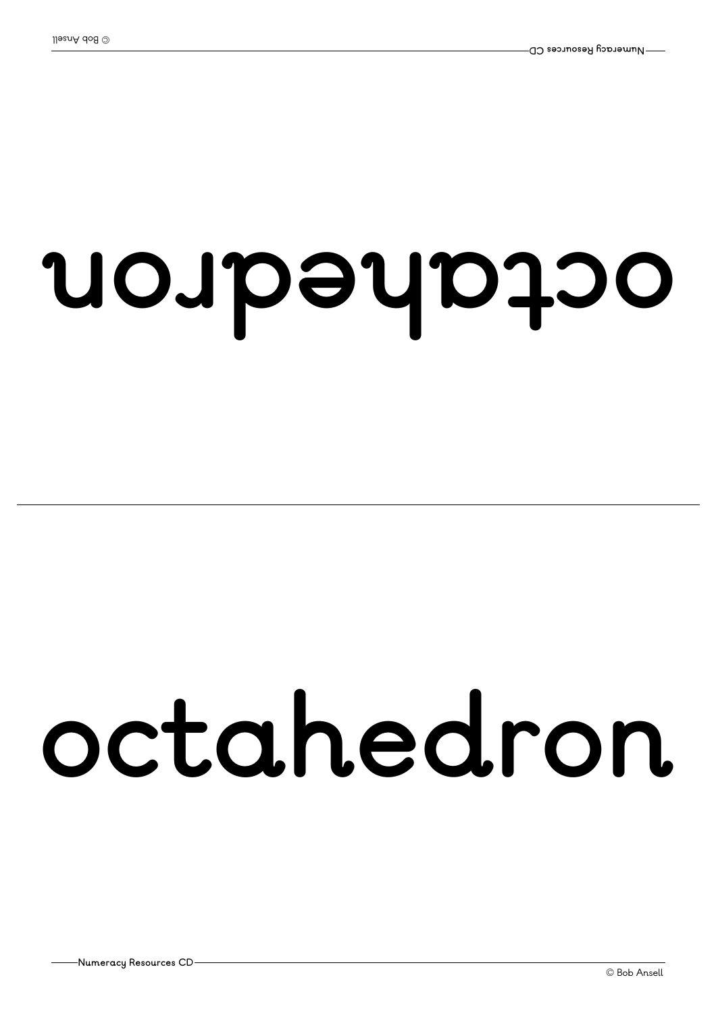#### **nor dehatco**

#### **octahedron**